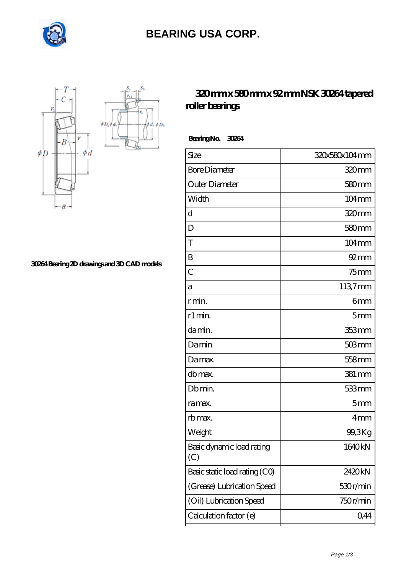

## **[BEARING USA CORP.](https://internationalbonsaiforum.com)**

 $\oint D_h$ 



**[30264 Bearing 2D drawings and 3D CAD models](https://internationalbonsaiforum.com/pic-65127458.html)**

## **[320 mm x 580 mm x 92 mm NSK 30264 tapered](https://internationalbonsaiforum.com/nsk-30264-bearing/) [roller bearings](https://internationalbonsaiforum.com/nsk-30264-bearing/)**

 **Bearing No. 30264**

| Size                             | 320x580x104mm       |
|----------------------------------|---------------------|
| <b>Bore Diameter</b>             | 320mm               |
| Outer Diameter                   | $580$ mm            |
| Width                            | $104 \,\mathrm{mm}$ |
| d                                | 320mm               |
| D                                | 580 <sub>mm</sub>   |
| T                                | $104 \,\mathrm{mm}$ |
| B                                | $92 \text{mm}$      |
| $\overline{C}$                   | $75$ mm             |
| а                                | 1137mm              |
| r min.                           | 6mm                 |
| r1 min.                          | 5 <sub>mm</sub>     |
| damin.                           | 353 mm              |
| Damin                            | $503$ mm            |
| Damax.                           | 558 mm              |
| db max.                          | $381 \,\mathrm{mm}$ |
| Db min.                          | 533mm               |
| ra max.                          | 5mm                 |
| rb max.                          | 4mm                 |
| Weight                           | 99,3Kg              |
| Basic dynamic load rating<br>(C) | 1640kN              |
| Basic static load rating (CO)    | 2420kN              |
| (Grease) Lubrication Speed       | 530r/min            |
| (Oil) Lubrication Speed          | 750r/min            |
| Calculation factor (e)           | 0,44                |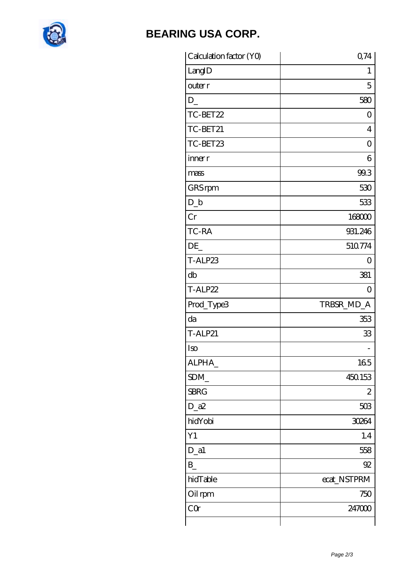

## **BEARING USA CORP.**

| Calculation factor (YO) | 0,74           |
|-------------------------|----------------|
| LangID                  | 1              |
| outer r                 | 5              |
| $D_{-}$                 | 580            |
| TC-BET22                | 0              |
| TC-BET21                | $\overline{4}$ |
| TC-BET23                | 0              |
| inner r                 | 6              |
| mass                    | 99.3           |
| GRS rpm                 | 530            |
| $D_b$                   | 533            |
| Cr                      | 168000         |
| TC-RA                   | 931.246        |
| DE                      | 510774         |
| T-ALP23                 | 0              |
| db                      | 381            |
| T-ALP22                 | 0              |
| Prod_Type3              | TRBSR_MD_A     |
| da                      | 353            |
| <b>T-ALP21</b>          | 33             |
| Iso                     |                |
| ALPHA_                  | 165            |
| SDM                     | 450.153        |
| <b>SBRG</b>             | 2              |
| $D_2a2$                 | 503            |
| hidYobi                 | 30264          |
| Y1                      | 1.4            |
| $D_a1$                  | 558            |
| $B_{-}$                 | 92             |
| hidTable                | ecat_NSTPRM    |
| Oil rpm                 | 750            |
| CQ                      | 247000         |
|                         |                |